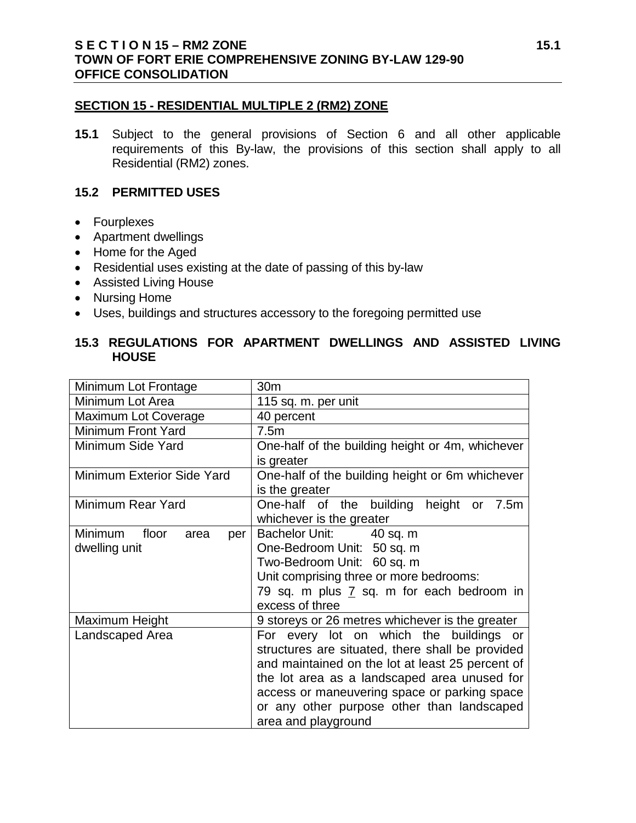#### **SECTION 15 - RESIDENTIAL MULTIPLE 2 (RM2) ZONE**

**15.1** Subject to the general provisions of Section 6 and all other applicable requirements of this By-law, the provisions of this section shall apply to all Residential (RM2) zones.

#### **15.2 PERMITTED USES**

- Fourplexes
- Apartment dwellings
- Home for the Aged
- Residential uses existing at the date of passing of this by-law
- Assisted Living House
- Nursing Home
- Uses, buildings and structures accessory to the foregoing permitted use

## **15.3 REGULATIONS FOR APARTMENT DWELLINGS AND ASSISTED LIVING HOUSE**

| Minimum Lot Frontage            | 30 <sub>m</sub>                                  |  |  |
|---------------------------------|--------------------------------------------------|--|--|
| Minimum Lot Area                | 115 sq. m. per unit                              |  |  |
| Maximum Lot Coverage            | 40 percent                                       |  |  |
| Minimum Front Yard              | 7.5m                                             |  |  |
| Minimum Side Yard               | One-half of the building height or 4m, whichever |  |  |
|                                 | is greater                                       |  |  |
| Minimum Exterior Side Yard      | One-half of the building height or 6m whichever  |  |  |
|                                 | is the greater                                   |  |  |
| Minimum Rear Yard               | One-half of the building<br>height or<br>7.5m    |  |  |
|                                 | whichever is the greater                         |  |  |
| Minimum<br>floor<br>area<br>per | Bachelor Unit: 40 sq. m                          |  |  |
| dwelling unit                   | One-Bedroom Unit: 50 sq. m                       |  |  |
|                                 | Two-Bedroom Unit: 60 sq. m                       |  |  |
|                                 | Unit comprising three or more bedrooms:          |  |  |
|                                 | 79 sq. m plus 7 sq. m for each bedroom in        |  |  |
|                                 | excess of three                                  |  |  |
| Maximum Height                  | 9 storeys or 26 metres whichever is the greater  |  |  |
| Landscaped Area                 | For every lot on which the buildings or          |  |  |
|                                 | structures are situated, there shall be provided |  |  |
|                                 | and maintained on the lot at least 25 percent of |  |  |
|                                 | the lot area as a landscaped area unused for     |  |  |
|                                 | access or maneuvering space or parking space     |  |  |
|                                 | or any other purpose other than landscaped       |  |  |
|                                 | area and playground                              |  |  |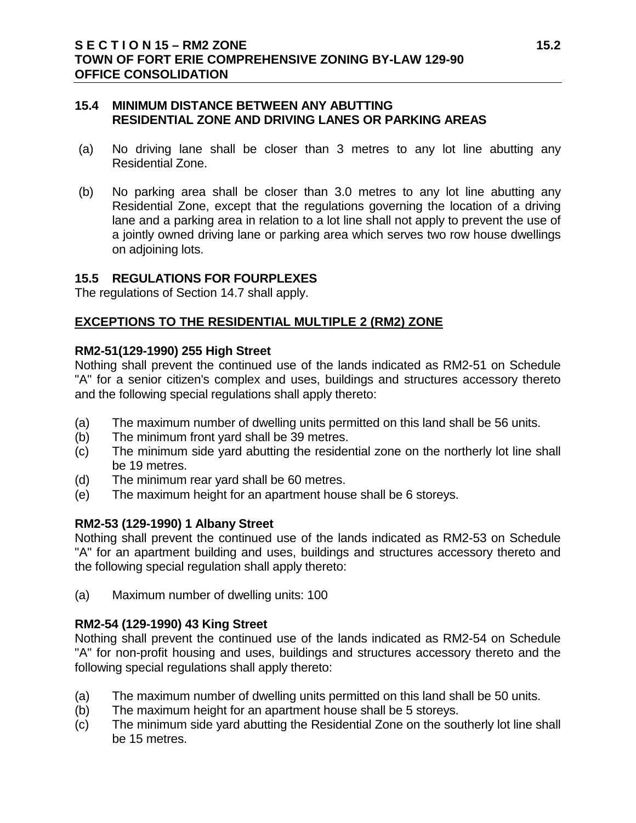#### **15.4 MINIMUM DISTANCE BETWEEN ANY ABUTTING RESIDENTIAL ZONE AND DRIVING LANES OR PARKING AREAS**

- (a) No driving lane shall be closer than 3 metres to any lot line abutting any Residential Zone.
- (b) No parking area shall be closer than 3.0 metres to any lot line abutting any Residential Zone, except that the regulations governing the location of a driving lane and a parking area in relation to a lot line shall not apply to prevent the use of a jointly owned driving lane or parking area which serves two row house dwellings on adjoining lots.

#### **15.5 REGULATIONS FOR FOURPLEXES**

The regulations of Section 14.7 shall apply.

## **EXCEPTIONS TO THE RESIDENTIAL MULTIPLE 2 (RM2) ZONE**

#### **RM2-51(129-1990) 255 High Street**

Nothing shall prevent the continued use of the lands indicated as RM2-51 on Schedule "A" for a senior citizen's complex and uses, buildings and structures accessory thereto and the following special regulations shall apply thereto:

- (a) The maximum number of dwelling units permitted on this land shall be 56 units.
- (b) The minimum front yard shall be 39 metres.
- (c) The minimum side yard abutting the residential zone on the northerly lot line shall be 19 metres.
- (d) The minimum rear yard shall be 60 metres.
- (e) The maximum height for an apartment house shall be 6 storeys.

#### **RM2-53 (129-1990) 1 Albany Street**

Nothing shall prevent the continued use of the lands indicated as RM2-53 on Schedule "A" for an apartment building and uses, buildings and structures accessory thereto and the following special regulation shall apply thereto:

(a) Maximum number of dwelling units: 100

#### **RM2-54 (129-1990) 43 King Street**

Nothing shall prevent the continued use of the lands indicated as RM2-54 on Schedule "A" for non-profit housing and uses, buildings and structures accessory thereto and the following special regulations shall apply thereto:

- (a) The maximum number of dwelling units permitted on this land shall be 50 units.
- (b) The maximum height for an apartment house shall be 5 storeys.
- (c) The minimum side yard abutting the Residential Zone on the southerly lot line shall be 15 metres.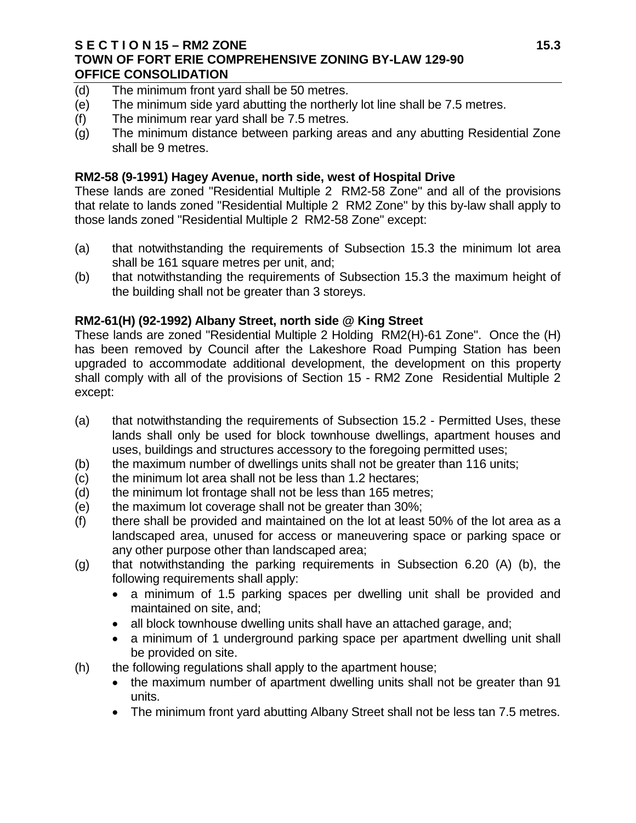#### **S E C T I O N 15 – RM2 ZONE 15.3 TOWN OF FORT ERIE COMPREHENSIVE ZONING BY-LAW 129-90 OFFICE CONSOLIDATION**

- (d) The minimum front yard shall be 50 metres.
- (e) The minimum side yard abutting the northerly lot line shall be 7.5 metres.
- (f) The minimum rear yard shall be 7.5 metres.
- (g) The minimum distance between parking areas and any abutting Residential Zone shall be 9 metres.

## **RM2-58 (9-1991) Hagey Avenue, north side, west of Hospital Drive**

These lands are zoned "Residential Multiple 2 RM2-58 Zone" and all of the provisions that relate to lands zoned "Residential Multiple 2 RM2 Zone" by this by-law shall apply to those lands zoned "Residential Multiple 2 RM2-58 Zone" except:

- (a) that notwithstanding the requirements of Subsection 15.3 the minimum lot area shall be 161 square metres per unit, and;
- (b) that notwithstanding the requirements of Subsection 15.3 the maximum height of the building shall not be greater than 3 storeys.

## **RM2-61(H) (92-1992) Albany Street, north side @ King Street**

These lands are zoned "Residential Multiple 2 Holding RM2(H)-61 Zone". Once the (H) has been removed by Council after the Lakeshore Road Pumping Station has been upgraded to accommodate additional development, the development on this property shall comply with all of the provisions of Section 15 - RM2 Zone Residential Multiple 2 except:

- (a) that notwithstanding the requirements of Subsection 15.2 Permitted Uses, these lands shall only be used for block townhouse dwellings, apartment houses and uses, buildings and structures accessory to the foregoing permitted uses;
- (b) the maximum number of dwellings units shall not be greater than 116 units;
- (c) the minimum lot area shall not be less than 1.2 hectares;
- (d) the minimum lot frontage shall not be less than 165 metres;
- (e) the maximum lot coverage shall not be greater than 30%;
- (f) there shall be provided and maintained on the lot at least 50% of the lot area as a landscaped area, unused for access or maneuvering space or parking space or any other purpose other than landscaped area;
- (g) that notwithstanding the parking requirements in Subsection 6.20 (A) (b), the following requirements shall apply:
	- a minimum of 1.5 parking spaces per dwelling unit shall be provided and maintained on site, and;
	- all block townhouse dwelling units shall have an attached garage, and;
	- a minimum of 1 underground parking space per apartment dwelling unit shall be provided on site.
- (h) the following regulations shall apply to the apartment house;
	- the maximum number of apartment dwelling units shall not be greater than 91 units.
	- The minimum front yard abutting Albany Street shall not be less tan 7.5 metres.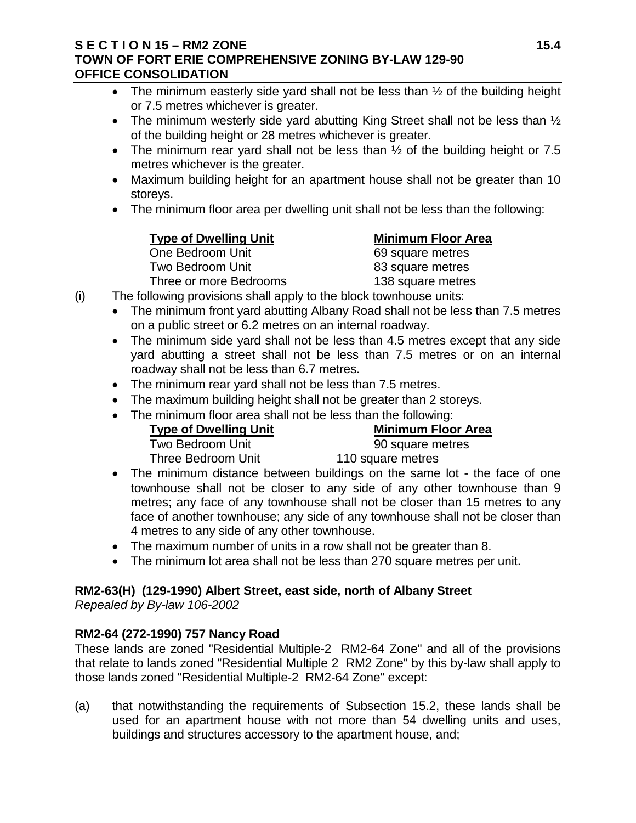#### **S E C T I O N 15 – RM2 ZONE 15.4 TOWN OF FORT ERIE COMPREHENSIVE ZONING BY-LAW 129-90 OFFICE CONSOLIDATION**

- The minimum easterly side yard shall not be less than  $\frac{1}{2}$  of the building height or 7.5 metres whichever is greater.
- The minimum westerly side yard abutting King Street shall not be less than  $\frac{1}{2}$ of the building height or 28 metres whichever is greater.
- The minimum rear vard shall not be less than  $\frac{1}{2}$  of the building height or 7.5 metres whichever is the greater.
- Maximum building height for an apartment house shall not be greater than 10 storeys.
- The minimum floor area per dwelling unit shall not be less than the following:

One Bedroom Unit Two Bedroom Unit 83 square metres Three or more Bedrooms 138 square metres

**Type of Dwelling Unit**<br>
One Bedroom Unit<br>  $\begin{array}{r} \n\text{Minimum Floor Area} \\
\text{One Bedroom Unit} \\
\end{array}$ 

- (i) The following provisions shall apply to the block townhouse units:
	- The minimum front yard abutting Albany Road shall not be less than 7.5 metres on a public street or 6.2 metres on an internal roadway.
	- The minimum side yard shall not be less than 4.5 metres except that any side yard abutting a street shall not be less than 7.5 metres or on an internal roadway shall not be less than 6.7 metres.
	- The minimum rear yard shall not be less than 7.5 metres.
	- The maximum building height shall not be greater than 2 storeys.
	- The minimum floor area shall not be less than the following:

**Type of Dwelling Unit**<br>Two Bedroom Unit **Minimum Floor Area**<br>90 square metres Two Bedroom Unit

Three Bedroom Unit 110 square metres

- The minimum distance between buildings on the same lot the face of one townhouse shall not be closer to any side of any other townhouse than 9 metres; any face of any townhouse shall not be closer than 15 metres to any face of another townhouse; any side of any townhouse shall not be closer than 4 metres to any side of any other townhouse.
- The maximum number of units in a row shall not be greater than 8.
- The minimum lot area shall not be less than 270 square metres per unit.

# **RM2-63(H) (129-1990) Albert Street, east side, north of Albany Street**

*Repealed by By-law 106-2002*

# **RM2-64 (272-1990) 757 Nancy Road**

These lands are zoned "Residential Multiple-2 RM2-64 Zone" and all of the provisions that relate to lands zoned "Residential Multiple 2 RM2 Zone" by this by-law shall apply to those lands zoned "Residential Multiple-2 RM2-64 Zone" except:

(a) that notwithstanding the requirements of Subsection 15.2, these lands shall be used for an apartment house with not more than 54 dwelling units and uses, buildings and structures accessory to the apartment house, and;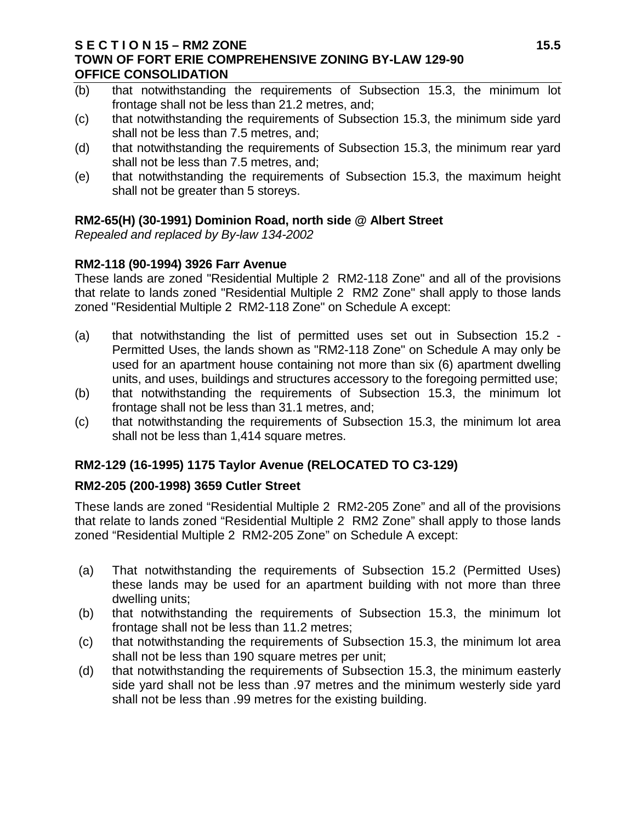#### **S E C T I O N 15 – RM2 ZONE 15.5 TOWN OF FORT ERIE COMPREHENSIVE ZONING BY-LAW 129-90 OFFICE CONSOLIDATION**

- (b) that notwithstanding the requirements of Subsection 15.3, the minimum lot frontage shall not be less than 21.2 metres, and;
- (c) that notwithstanding the requirements of Subsection 15.3, the minimum side yard shall not be less than 7.5 metres, and;
- (d) that notwithstanding the requirements of Subsection 15.3, the minimum rear yard shall not be less than 7.5 metres, and;
- (e) that notwithstanding the requirements of Subsection 15.3, the maximum height shall not be greater than 5 storeys.

## **RM2-65(H) (30-1991) Dominion Road, north side @ Albert Street**

*Repealed and replaced by By-law 134-2002*

# **RM2-118 (90-1994) 3926 Farr Avenue**

These lands are zoned "Residential Multiple 2 RM2-118 Zone" and all of the provisions that relate to lands zoned "Residential Multiple 2 RM2 Zone" shall apply to those lands zoned "Residential Multiple 2 RM2-118 Zone" on Schedule A except:

- (a) that notwithstanding the list of permitted uses set out in Subsection 15.2 Permitted Uses, the lands shown as "RM2-118 Zone" on Schedule A may only be used for an apartment house containing not more than six (6) apartment dwelling units, and uses, buildings and structures accessory to the foregoing permitted use;
- (b) that notwithstanding the requirements of Subsection 15.3, the minimum lot frontage shall not be less than 31.1 metres, and;
- (c) that notwithstanding the requirements of Subsection 15.3, the minimum lot area shall not be less than 1,414 square metres.

# **RM2-129 (16-1995) 1175 Taylor Avenue (RELOCATED TO C3-129)**

# **RM2-205 (200-1998) 3659 Cutler Street**

These lands are zoned "Residential Multiple 2 RM2-205 Zone" and all of the provisions that relate to lands zoned "Residential Multiple 2 RM2 Zone" shall apply to those lands zoned "Residential Multiple 2 RM2-205 Zone" on Schedule A except:

- (a) That notwithstanding the requirements of Subsection 15.2 (Permitted Uses) these lands may be used for an apartment building with not more than three dwelling units;
- (b) that notwithstanding the requirements of Subsection 15.3, the minimum lot frontage shall not be less than 11.2 metres;
- (c) that notwithstanding the requirements of Subsection 15.3, the minimum lot area shall not be less than 190 square metres per unit;
- (d) that notwithstanding the requirements of Subsection 15.3, the minimum easterly side yard shall not be less than .97 metres and the minimum westerly side yard shall not be less than .99 metres for the existing building.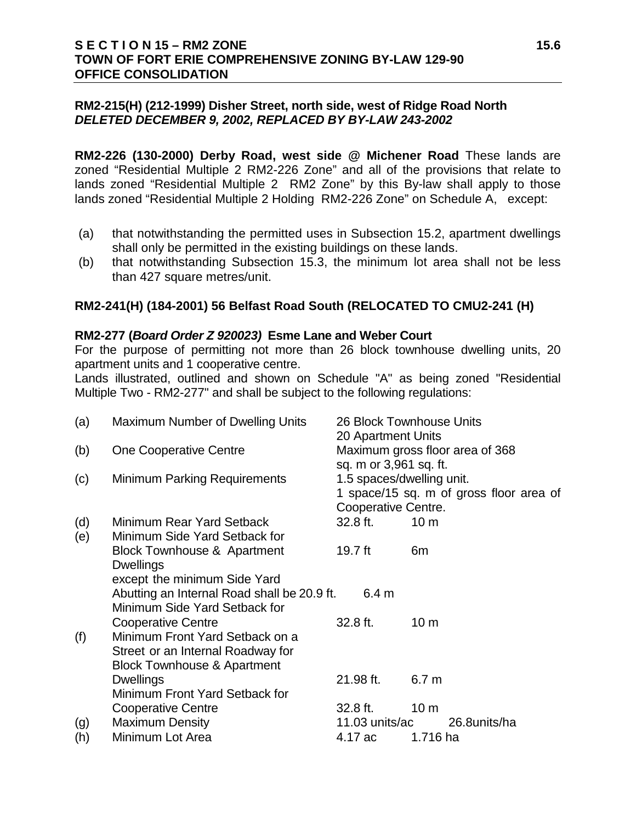#### **S E C T I O N 15 – RM2 ZONE 15.6 TOWN OF FORT ERIE COMPREHENSIVE ZONING BY-LAW 129-90 OFFICE CONSOLIDATION**

## **RM2-215(H) (212-1999) Disher Street, north side, west of Ridge Road North**  *DELETED DECEMBER 9, 2002, REPLACED BY BY-LAW 243-2002*

**RM2-226 (130-2000) Derby Road, west side @ Michener Road** These lands are zoned "Residential Multiple 2 RM2-226 Zone" and all of the provisions that relate to lands zoned "Residential Multiple 2 RM2 Zone" by this By-law shall apply to those lands zoned "Residential Multiple 2 Holding RM2-226 Zone" on Schedule A, except:

- (a) that notwithstanding the permitted uses in Subsection 15.2, apartment dwellings shall only be permitted in the existing buildings on these lands.
- (b) that notwithstanding Subsection 15.3, the minimum lot area shall not be less than 427 square metres/unit.

## **RM2-241(H) (184-2001) 56 Belfast Road South (RELOCATED TO CMU2-241 (H)**

#### **RM2-277 (***Board Order Z 920023)* **Esme Lane and Weber Court**

For the purpose of permitting not more than 26 block townhouse dwelling units, 20 apartment units and 1 cooperative centre.

Lands illustrated, outlined and shown on Schedule "A" as being zoned "Residential Multiple Two - RM2-277" and shall be subject to the following regulations:

| (a) | Maximum Number of Dwelling Units                           | 20 Apartment Units                                  | 26 Block Townhouse Units                |
|-----|------------------------------------------------------------|-----------------------------------------------------|-----------------------------------------|
| (b) | <b>One Cooperative Centre</b>                              |                                                     | Maximum gross floor area of 368         |
| (c) | <b>Minimum Parking Requirements</b>                        | sq. m or 3,961 sq. ft.<br>1.5 spaces/dwelling unit. |                                         |
|     |                                                            | Cooperative Centre.                                 | 1 space/15 sq. m of gross floor area of |
| (d) | Minimum Rear Yard Setback                                  | 32.8 ft.                                            | 10 <sub>m</sub>                         |
| (e) | Minimum Side Yard Setback for                              |                                                     |                                         |
|     | <b>Block Townhouse &amp; Apartment</b><br><b>Dwellings</b> | 19.7 ft                                             | 6m                                      |
|     | except the minimum Side Yard                               |                                                     |                                         |
|     | Abutting an Internal Road shall be 20.9 ft.                | 6.4 <sub>m</sub>                                    |                                         |
|     | Minimum Side Yard Setback for                              |                                                     |                                         |
|     | <b>Cooperative Centre</b>                                  | 32.8 ft.                                            | 10 <sub>m</sub>                         |
| (f) | Minimum Front Yard Setback on a                            |                                                     |                                         |
|     | Street or an Internal Roadway for                          |                                                     |                                         |
|     | <b>Block Townhouse &amp; Apartment</b>                     |                                                     |                                         |
|     | <b>Dwellings</b>                                           | 21.98 ft.                                           | 6.7 <sub>m</sub>                        |
|     | Minimum Front Yard Setback for                             |                                                     |                                         |
|     | <b>Cooperative Centre</b>                                  | 32.8 ft.                                            | 10 <sub>m</sub>                         |
| (g) | <b>Maximum Density</b>                                     | 11.03 units/ac                                      | 26.8units/ha                            |
| (h) | Minimum Lot Area                                           | 4.17 ac                                             | 1.716 ha                                |
|     |                                                            |                                                     |                                         |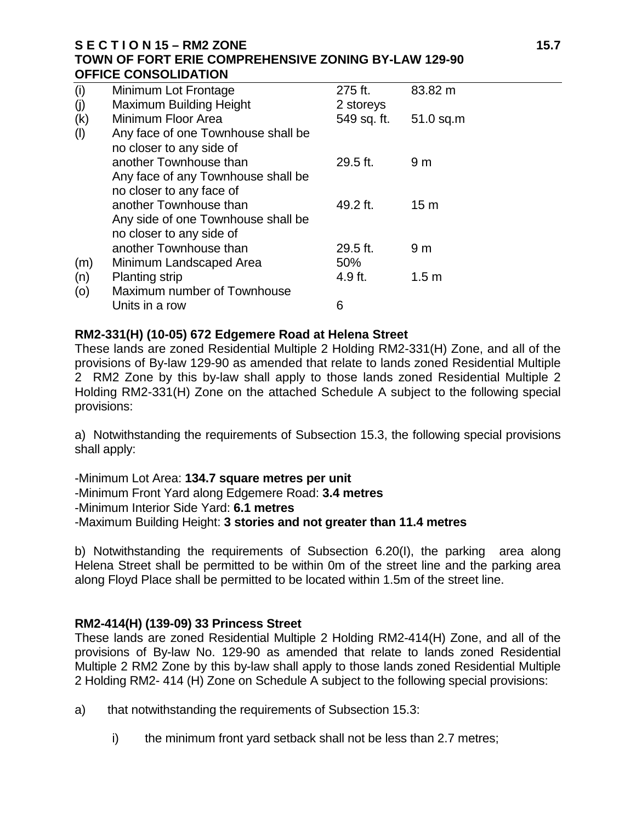#### **S E C T I O N 15 – RM2 ZONE 15.7 TOWN OF FORT ERIE COMPREHENSIVE ZONING BY-LAW 129-90 OFFICE CONSOLIDATION**

| (i) | Minimum Lot Frontage               | 275 ft.     | 83.82 m          |
|-----|------------------------------------|-------------|------------------|
| (j) | <b>Maximum Building Height</b>     | 2 storeys   |                  |
| (k) | Minimum Floor Area                 | 549 sq. ft. | $51.0$ sq.m      |
| (1) | Any face of one Townhouse shall be |             |                  |
|     | no closer to any side of           |             |                  |
|     | another Townhouse than             | $29.5$ ft.  | 9 <sub>m</sub>   |
|     | Any face of any Townhouse shall be |             |                  |
|     | no closer to any face of           |             |                  |
|     | another Townhouse than             | 49.2 ft.    | 15 <sub>m</sub>  |
|     | Any side of one Townhouse shall be |             |                  |
|     | no closer to any side of           |             |                  |
|     | another Townhouse than             | $29.5$ ft.  | 9 <sub>m</sub>   |
| (m) | Minimum Landscaped Area            | 50%         |                  |
| (n) | <b>Planting strip</b>              | 4.9 ft.     | 1.5 <sub>m</sub> |
| (0) | Maximum number of Townhouse        |             |                  |
|     | Units in a row                     | 6           |                  |

#### **RM2-331(H) (10-05) 672 Edgemere Road at Helena Street**

These lands are zoned Residential Multiple 2 Holding RM2-331(H) Zone, and all of the provisions of By-law 129-90 as amended that relate to lands zoned Residential Multiple 2 RM2 Zone by this by-law shall apply to those lands zoned Residential Multiple 2 Holding RM2-331(H) Zone on the attached Schedule A subject to the following special provisions:

a) Notwithstanding the requirements of Subsection 15.3, the following special provisions shall apply:

-Minimum Lot Area: **134.7 square metres per unit** -Minimum Front Yard along Edgemere Road: **3.4 metres** -Minimum Interior Side Yard: **6.1 metres** -Maximum Building Height: **3 stories and not greater than 11.4 metres**

b) Notwithstanding the requirements of Subsection 6.20(I), the parking area along Helena Street shall be permitted to be within 0m of the street line and the parking area along Floyd Place shall be permitted to be located within 1.5m of the street line.

#### **RM2-414(H) (139-09) 33 Princess Street**

These lands are zoned Residential Multiple 2 Holding RM2-414(H) Zone, and all of the provisions of By-law No. 129-90 as amended that relate to lands zoned Residential Multiple 2 RM2 Zone by this by-law shall apply to those lands zoned Residential Multiple 2 Holding RM2- 414 (H) Zone on Schedule A subject to the following special provisions:

- a) that notwithstanding the requirements of Subsection 15.3:
	- i) the minimum front yard setback shall not be less than 2.7 metres;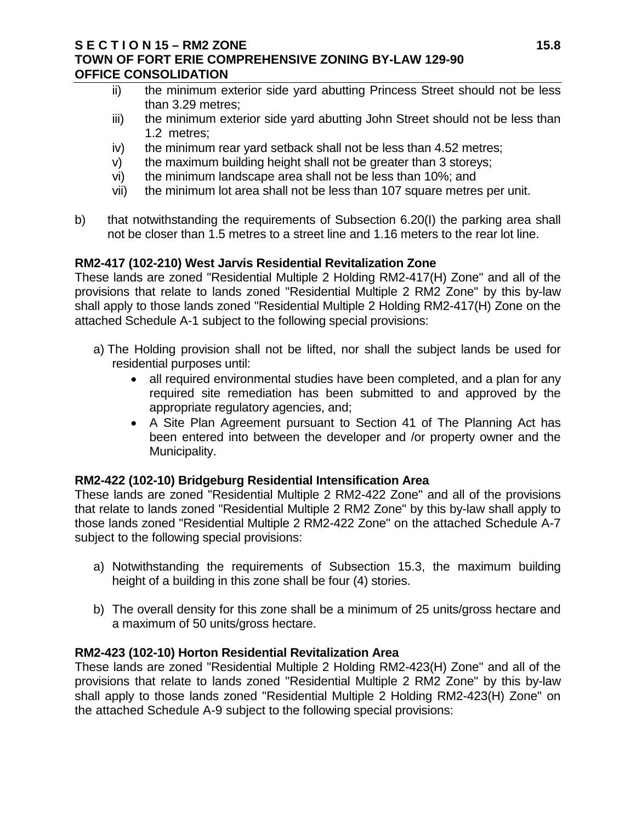#### **S E C T I O N 15 – RM2 ZONE 15.8 TOWN OF FORT ERIE COMPREHENSIVE ZONING BY-LAW 129-90 OFFICE CONSOLIDATION**

- ii) the minimum exterior side yard abutting Princess Street should not be less than 3.29 metres;
- iii) the minimum exterior side yard abutting John Street should not be less than 1.2 metres;
- iv) the minimum rear yard setback shall not be less than 4.52 metres;
- v) the maximum building height shall not be greater than 3 storeys;
- vi) the minimum landscape area shall not be less than 10%; and
- vii) the minimum lot area shall not be less than 107 square metres per unit.
- b) that notwithstanding the requirements of Subsection 6.20(I) the parking area shall not be closer than 1.5 metres to a street line and 1.16 meters to the rear lot line.

# **RM2-417 (102-210) West Jarvis Residential Revitalization Zone**

These lands are zoned "Residential Multiple 2 Holding RM2-417(H) Zone" and all of the provisions that relate to lands zoned "Residential Multiple 2 RM2 Zone" by this by-law shall apply to those lands zoned "Residential Multiple 2 Holding RM2-417(H) Zone on the attached Schedule A-1 subject to the following special provisions:

- a) The Holding provision shall not be lifted, nor shall the subject lands be used for residential purposes until:
	- all required environmental studies have been completed, and a plan for any required site remediation has been submitted to and approved by the appropriate regulatory agencies, and;
	- A Site Plan Agreement pursuant to Section 41 of The Planning Act has been entered into between the developer and /or property owner and the Municipality.

## **RM2-422 (102-10) Bridgeburg Residential Intensification Area**

These lands are zoned "Residential Multiple 2 RM2-422 Zone" and all of the provisions that relate to lands zoned "Residential Multiple 2 RM2 Zone" by this by-law shall apply to those lands zoned "Residential Multiple 2 RM2-422 Zone" on the attached Schedule A-7 subject to the following special provisions:

- a) Notwithstanding the requirements of Subsection 15.3, the maximum building height of a building in this zone shall be four (4) stories.
- b) The overall density for this zone shall be a minimum of 25 units/gross hectare and a maximum of 50 units/gross hectare.

## **RM2-423 (102-10) Horton Residential Revitalization Area**

These lands are zoned "Residential Multiple 2 Holding RM2-423(H) Zone" and all of the provisions that relate to lands zoned "Residential Multiple 2 RM2 Zone" by this by-law shall apply to those lands zoned "Residential Multiple 2 Holding RM2-423(H) Zone" on the attached Schedule A-9 subject to the following special provisions: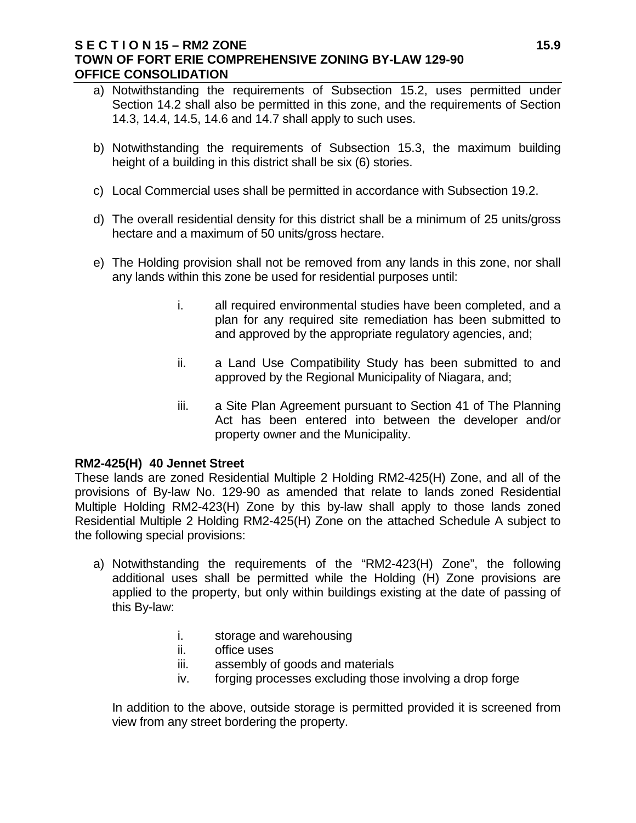#### **S E C T I O N 15 – RM2 ZONE 15.9 TOWN OF FORT ERIE COMPREHENSIVE ZONING BY-LAW 129-90 OFFICE CONSOLIDATION**

- a) Notwithstanding the requirements of Subsection 15.2, uses permitted under Section 14.2 shall also be permitted in this zone, and the requirements of Section 14.3, 14.4, 14.5, 14.6 and 14.7 shall apply to such uses.
- b) Notwithstanding the requirements of Subsection 15.3, the maximum building height of a building in this district shall be six (6) stories.
- c) Local Commercial uses shall be permitted in accordance with Subsection 19.2.
- d) The overall residential density for this district shall be a minimum of 25 units/gross hectare and a maximum of 50 units/gross hectare.
- e) The Holding provision shall not be removed from any lands in this zone, nor shall any lands within this zone be used for residential purposes until:
	- i. all required environmental studies have been completed, and a plan for any required site remediation has been submitted to and approved by the appropriate regulatory agencies, and;
	- ii. a Land Use Compatibility Study has been submitted to and approved by the Regional Municipality of Niagara, and;
	- iii. a Site Plan Agreement pursuant to Section 41 of The Planning Act has been entered into between the developer and/or property owner and the Municipality.

#### **RM2-425(H) 40 Jennet Street**

These lands are zoned Residential Multiple 2 Holding RM2-425(H) Zone, and all of the provisions of By-law No. 129-90 as amended that relate to lands zoned Residential Multiple Holding RM2-423(H) Zone by this by-law shall apply to those lands zoned Residential Multiple 2 Holding RM2-425(H) Zone on the attached Schedule A subject to the following special provisions:

- a) Notwithstanding the requirements of the "RM2-423(H) Zone", the following additional uses shall be permitted while the Holding (H) Zone provisions are applied to the property, but only within buildings existing at the date of passing of this By-law:
	- i. storage and warehousing
	- ii. office uses
	- iii. assembly of goods and materials
	- iv. forging processes excluding those involving a drop forge

In addition to the above, outside storage is permitted provided it is screened from view from any street bordering the property.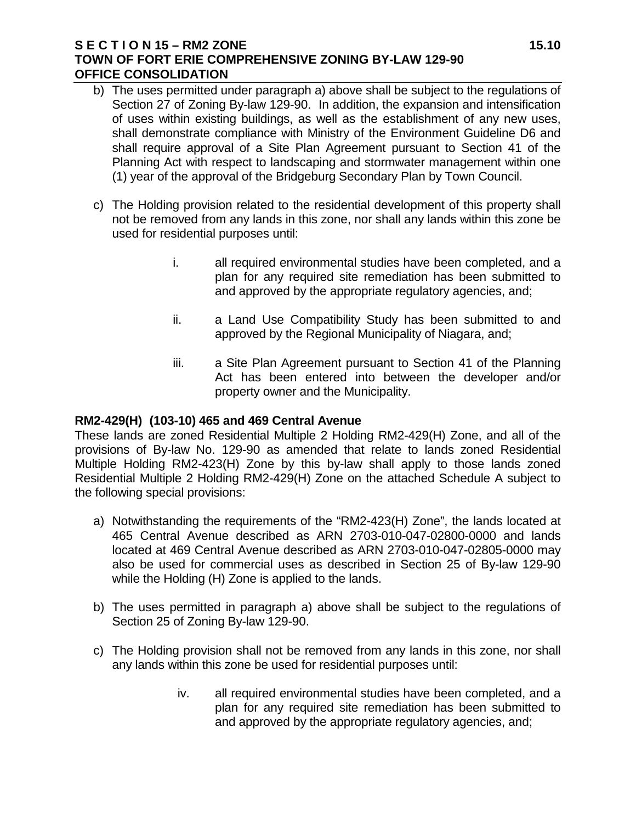#### **S E C T I O N 15 – RM2 ZONE 15.10 TOWN OF FORT ERIE COMPREHENSIVE ZONING BY-LAW 129-90 OFFICE CONSOLIDATION**

- b) The uses permitted under paragraph a) above shall be subject to the regulations of Section 27 of Zoning By-law 129-90. In addition, the expansion and intensification of uses within existing buildings, as well as the establishment of any new uses, shall demonstrate compliance with Ministry of the Environment Guideline D6 and shall require approval of a Site Plan Agreement pursuant to Section 41 of the Planning Act with respect to landscaping and stormwater management within one (1) year of the approval of the Bridgeburg Secondary Plan by Town Council.
- c) The Holding provision related to the residential development of this property shall not be removed from any lands in this zone, nor shall any lands within this zone be used for residential purposes until:
	- i. all required environmental studies have been completed, and a plan for any required site remediation has been submitted to and approved by the appropriate regulatory agencies, and;
	- ii. a Land Use Compatibility Study has been submitted to and approved by the Regional Municipality of Niagara, and;
	- iii. a Site Plan Agreement pursuant to Section 41 of the Planning Act has been entered into between the developer and/or property owner and the Municipality.

#### **RM2-429(H) (103-10) 465 and 469 Central Avenue**

These lands are zoned Residential Multiple 2 Holding RM2-429(H) Zone, and all of the provisions of By-law No. 129-90 as amended that relate to lands zoned Residential Multiple Holding RM2-423(H) Zone by this by-law shall apply to those lands zoned Residential Multiple 2 Holding RM2-429(H) Zone on the attached Schedule A subject to the following special provisions:

- a) Notwithstanding the requirements of the "RM2-423(H) Zone", the lands located at 465 Central Avenue described as ARN 2703-010-047-02800-0000 and lands located at 469 Central Avenue described as ARN 2703-010-047-02805-0000 may also be used for commercial uses as described in Section 25 of By-law 129-90 while the Holding (H) Zone is applied to the lands.
- b) The uses permitted in paragraph a) above shall be subject to the regulations of Section 25 of Zoning By-law 129-90.
- c) The Holding provision shall not be removed from any lands in this zone, nor shall any lands within this zone be used for residential purposes until:
	- iv. all required environmental studies have been completed, and a plan for any required site remediation has been submitted to and approved by the appropriate regulatory agencies, and;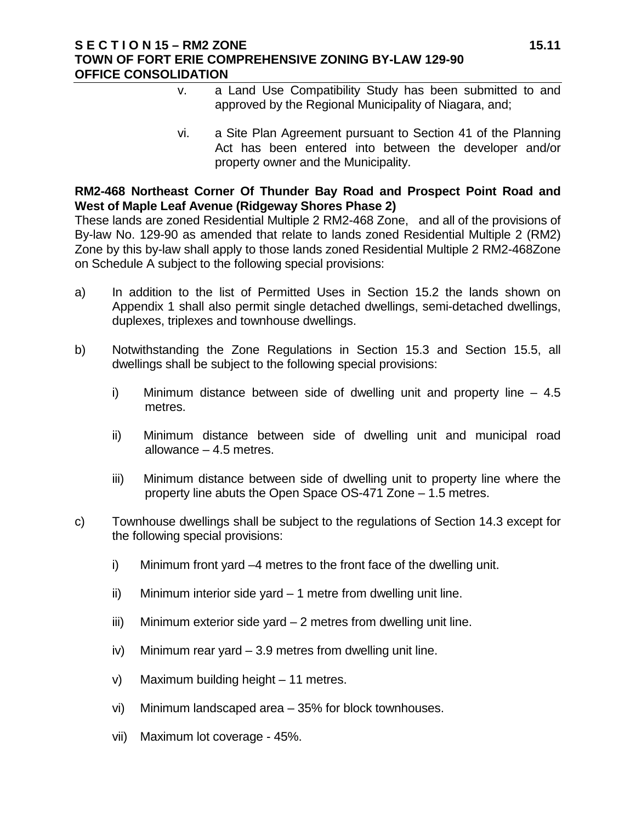#### **S E C T I O N 15 – RM2 ZONE 15.11 TOWN OF FORT ERIE COMPREHENSIVE ZONING BY-LAW 129-90 OFFICE CONSOLIDATION**

- v. a Land Use Compatibility Study has been submitted to and approved by the Regional Municipality of Niagara, and;
- vi. a Site Plan Agreement pursuant to Section 41 of the Planning Act has been entered into between the developer and/or property owner and the Municipality.

### **RM2-468 Northeast Corner Of Thunder Bay Road and Prospect Point Road and West of Maple Leaf Avenue (Ridgeway Shores Phase 2)**

These lands are zoned Residential Multiple 2 RM2-468 Zone, and all of the provisions of By-law No. 129-90 as amended that relate to lands zoned Residential Multiple 2 (RM2) Zone by this by-law shall apply to those lands zoned Residential Multiple 2 RM2-468Zone on Schedule A subject to the following special provisions:

- a) In addition to the list of Permitted Uses in Section 15.2 the lands shown on Appendix 1 shall also permit single detached dwellings, semi-detached dwellings, duplexes, triplexes and townhouse dwellings.
- b) Notwithstanding the Zone Regulations in Section 15.3 and Section 15.5, all dwellings shall be subject to the following special provisions:
	- i) Minimum distance between side of dwelling unit and property line 4.5 metres.
	- ii) Minimum distance between side of dwelling unit and municipal road allowance – 4.5 metres.
	- iii) Minimum distance between side of dwelling unit to property line where the property line abuts the Open Space OS-471 Zone – 1.5 metres.
- c) Townhouse dwellings shall be subject to the regulations of Section 14.3 except for the following special provisions:
	- i) Minimum front yard –4 metres to the front face of the dwelling unit.
	- ii) Minimum interior side yard 1 metre from dwelling unit line.
	- iii) Minimum exterior side yard 2 metres from dwelling unit line.
	- iv) Minimum rear yard 3.9 metres from dwelling unit line.
	- v) Maximum building height 11 metres.
	- vi) Minimum landscaped area 35% for block townhouses.
	- vii) Maximum lot coverage 45%.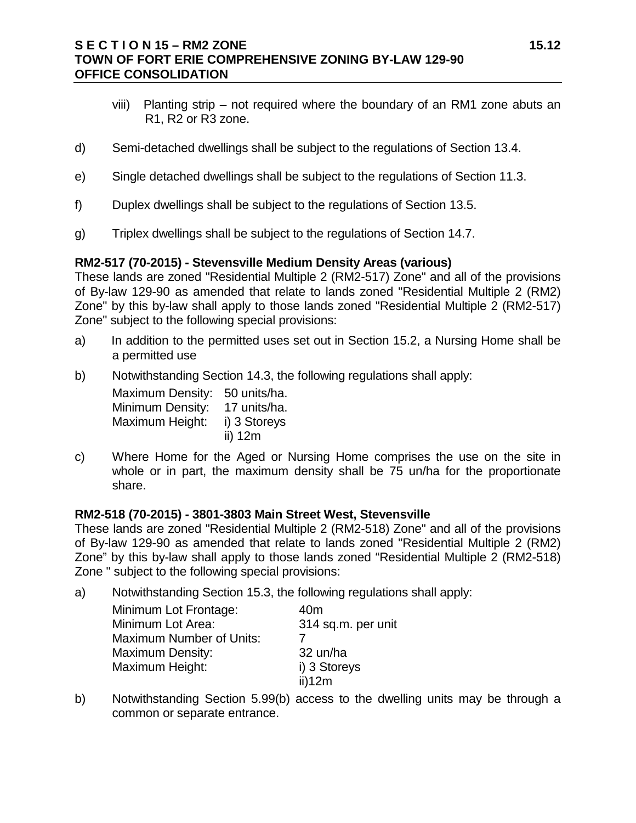#### **S E C T I O N 15 – RM2 ZONE 15.12 TOWN OF FORT ERIE COMPREHENSIVE ZONING BY-LAW 129-90 OFFICE CONSOLIDATION**

- viii) Planting strip not required where the boundary of an RM1 zone abuts an R1, R2 or R3 zone.
- d) Semi-detached dwellings shall be subject to the regulations of Section 13.4.
- e) Single detached dwellings shall be subject to the regulations of Section 11.3.
- f) Duplex dwellings shall be subject to the regulations of Section 13.5.
- g) Triplex dwellings shall be subject to the regulations of Section 14.7.

#### **RM2-517 (70-2015) - Stevensville Medium Density Areas (various)**

These lands are zoned "Residential Multiple 2 (RM2-517) Zone" and all of the provisions of By-law 129-90 as amended that relate to lands zoned "Residential Multiple 2 (RM2) Zone" by this by-law shall apply to those lands zoned "Residential Multiple 2 (RM2-517) Zone" subject to the following special provisions:

- a) In addition to the permitted uses set out in Section 15.2, a Nursing Home shall be a permitted use
- b) Notwithstanding Section 14.3, the following regulations shall apply:

Maximum Density: 50 units/ha. Minimum Density: 17 units/ha. Maximum Height: i) 3 Storeys ii) 12m

c) Where Home for the Aged or Nursing Home comprises the use on the site in whole or in part, the maximum density shall be 75 un/ha for the proportionate share.

#### **RM2-518 (70-2015) - 3801-3803 Main Street West, Stevensville**

These lands are zoned "Residential Multiple 2 (RM2-518) Zone" and all of the provisions of By-law 129-90 as amended that relate to lands zoned "Residential Multiple 2 (RM2) Zone" by this by-law shall apply to those lands zoned "Residential Multiple 2 (RM2-518) Zone " subject to the following special provisions:

a) Notwithstanding Section 15.3, the following regulations shall apply:

| Minimum Lot Frontage:           | 40m                |
|---------------------------------|--------------------|
| Minimum Lot Area:               | 314 sq.m. per unit |
| <b>Maximum Number of Units:</b> |                    |
| <b>Maximum Density:</b>         | 32 un/ha           |
| Maximum Height:                 | i) 3 Storeys       |
|                                 | ii)12m             |

b) Notwithstanding Section 5.99(b) access to the dwelling units may be through a common or separate entrance.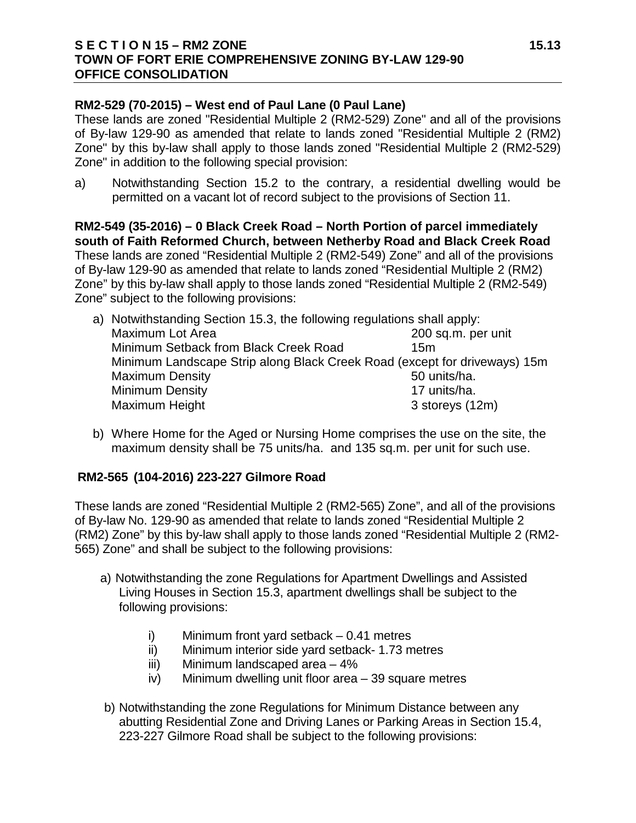#### **S E C T I O N 15 – RM2 ZONE 15.13 TOWN OF FORT ERIE COMPREHENSIVE ZONING BY-LAW 129-90 OFFICE CONSOLIDATION**

### **RM2-529 (70-2015) – West end of Paul Lane (0 Paul Lane)**

These lands are zoned "Residential Multiple 2 (RM2-529) Zone" and all of the provisions of By-law 129-90 as amended that relate to lands zoned "Residential Multiple 2 (RM2) Zone" by this by-law shall apply to those lands zoned "Residential Multiple 2 (RM2-529) Zone" in addition to the following special provision:

a) Notwithstanding Section 15.2 to the contrary, a residential dwelling would be permitted on a vacant lot of record subject to the provisions of Section 11.

**RM2-549 (35-2016) – 0 Black Creek Road – North Portion of parcel immediately south of Faith Reformed Church, between Netherby Road and Black Creek Road** These lands are zoned "Residential Multiple 2 (RM2-549) Zone" and all of the provisions of By-law 129-90 as amended that relate to lands zoned "Residential Multiple 2 (RM2) Zone" by this by-law shall apply to those lands zoned "Residential Multiple 2 (RM2-549) Zone" subject to the following provisions:

| a) Notwithstanding Section 15.3, the following regulations shall apply:   |                    |  |
|---------------------------------------------------------------------------|--------------------|--|
| Maximum Lot Area                                                          | 200 sq.m. per unit |  |
| Minimum Setback from Black Creek Road                                     | 15m                |  |
| Minimum Landscape Strip along Black Creek Road (except for driveways) 15m |                    |  |
| <b>Maximum Density</b>                                                    | 50 units/ha.       |  |
| <b>Minimum Density</b>                                                    | 17 units/ha.       |  |
| Maximum Height                                                            | 3 storeys (12m)    |  |

b) Where Home for the Aged or Nursing Home comprises the use on the site, the maximum density shall be 75 units/ha. and 135 sq.m. per unit for such use.

## **RM2-565 (104-2016) 223-227 Gilmore Road**

These lands are zoned "Residential Multiple 2 (RM2-565) Zone", and all of the provisions of By-law No. 129-90 as amended that relate to lands zoned "Residential Multiple 2 (RM2) Zone" by this by-law shall apply to those lands zoned "Residential Multiple 2 (RM2- 565) Zone" and shall be subject to the following provisions:

- a) Notwithstanding the zone Regulations for Apartment Dwellings and Assisted Living Houses in Section 15.3, apartment dwellings shall be subject to the following provisions:
	- i) Minimum front yard setback 0.41 metres
	- ii) Minimum interior side yard setback- 1.73 metres
	- iii) Minimum landscaped area 4%
	- iv) Minimum dwelling unit floor area 39 square metres
- b) Notwithstanding the zone Regulations for Minimum Distance between any abutting Residential Zone and Driving Lanes or Parking Areas in Section 15.4, 223-227 Gilmore Road shall be subject to the following provisions: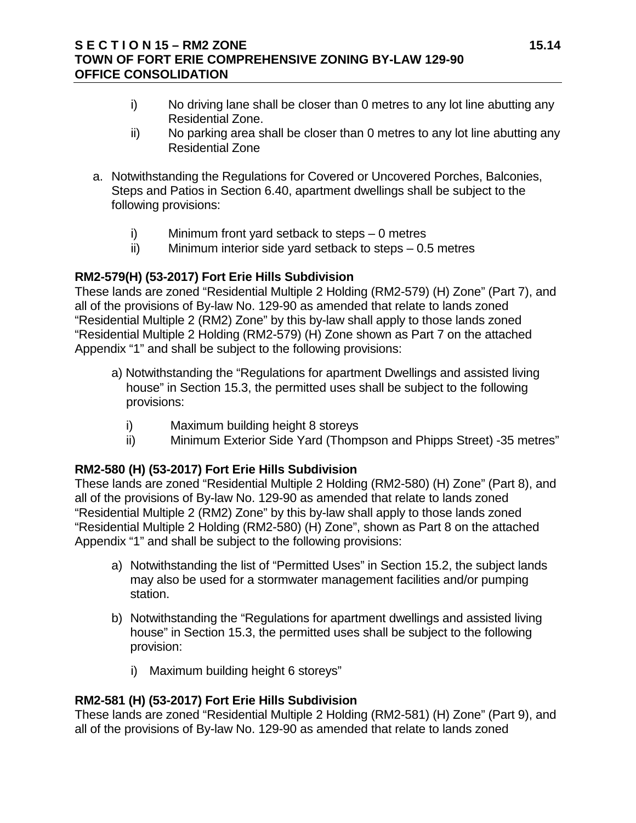#### **S E C T I O N 15 – RM2 ZONE 15.14 TOWN OF FORT ERIE COMPREHENSIVE ZONING BY-LAW 129-90 OFFICE CONSOLIDATION**

- i) No driving lane shall be closer than 0 metres to any lot line abutting any Residential Zone.
- ii) No parking area shall be closer than 0 metres to any lot line abutting any Residential Zone
- a. Notwithstanding the Regulations for Covered or Uncovered Porches, Balconies, Steps and Patios in Section 6.40, apartment dwellings shall be subject to the following provisions:
	- i) Minimum front yard setback to steps 0 metres
	- ii) Minimum interior side yard setback to steps 0.5 metres

## **RM2-579(H) (53-2017) Fort Erie Hills Subdivision**

These lands are zoned "Residential Multiple 2 Holding (RM2-579) (H) Zone" (Part 7), and all of the provisions of By-law No. 129-90 as amended that relate to lands zoned "Residential Multiple 2 (RM2) Zone" by this by-law shall apply to those lands zoned "Residential Multiple 2 Holding (RM2-579) (H) Zone shown as Part 7 on the attached Appendix "1" and shall be subject to the following provisions:

- a) Notwithstanding the "Regulations for apartment Dwellings and assisted living house" in Section 15.3, the permitted uses shall be subject to the following provisions:
	- i) Maximum building height 8 storeys
	- ii) Minimum Exterior Side Yard (Thompson and Phipps Street) -35 metres"

## **RM2-580 (H) (53-2017) Fort Erie Hills Subdivision**

These lands are zoned "Residential Multiple 2 Holding (RM2-580) (H) Zone" (Part 8), and all of the provisions of By-law No. 129-90 as amended that relate to lands zoned "Residential Multiple 2 (RM2) Zone" by this by-law shall apply to those lands zoned "Residential Multiple 2 Holding (RM2-580) (H) Zone", shown as Part 8 on the attached Appendix "1" and shall be subject to the following provisions:

- a) Notwithstanding the list of "Permitted Uses" in Section 15.2, the subject lands may also be used for a stormwater management facilities and/or pumping station.
- b) Notwithstanding the "Regulations for apartment dwellings and assisted living house" in Section 15.3, the permitted uses shall be subject to the following provision:
	- i) Maximum building height 6 storeys"

## **RM2-581 (H) (53-2017) Fort Erie Hills Subdivision**

These lands are zoned "Residential Multiple 2 Holding (RM2-581) (H) Zone" (Part 9), and all of the provisions of By-law No. 129-90 as amended that relate to lands zoned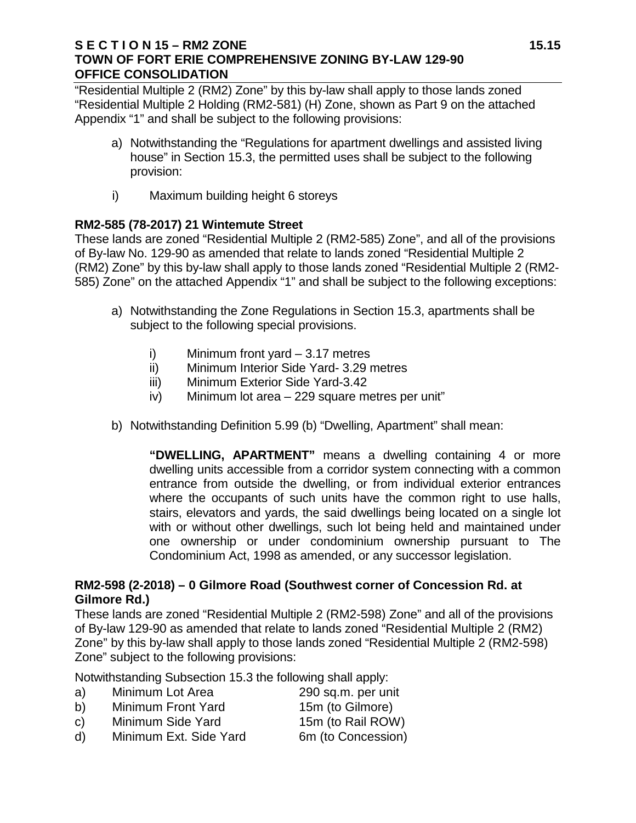#### **S E C T I O N 15 – RM2 ZONE 15.15 TOWN OF FORT ERIE COMPREHENSIVE ZONING BY-LAW 129-90 OFFICE CONSOLIDATION**

"Residential Multiple 2 (RM2) Zone" by this by-law shall apply to those lands zoned "Residential Multiple 2 Holding (RM2-581) (H) Zone, shown as Part 9 on the attached Appendix "1" and shall be subject to the following provisions:

- a) Notwithstanding the "Regulations for apartment dwellings and assisted living house" in Section 15.3, the permitted uses shall be subject to the following provision:
- i) Maximum building height 6 storeys

## **RM2-585 (78-2017) 21 Wintemute Street**

These lands are zoned "Residential Multiple 2 (RM2-585) Zone", and all of the provisions of By-law No. 129-90 as amended that relate to lands zoned "Residential Multiple 2 (RM2) Zone" by this by-law shall apply to those lands zoned "Residential Multiple 2 (RM2- 585) Zone" on the attached Appendix "1" and shall be subject to the following exceptions:

- a) Notwithstanding the Zone Regulations in Section 15.3, apartments shall be subject to the following special provisions.
	- i) Minimum front yard 3.17 metres
	- ii) Minimum Interior Side Yard- 3.29 metres
	- iii) Minimum Exterior Side Yard-3.42
	- iv) Minimum lot area 229 square metres per unit"
- b) Notwithstanding Definition 5.99 (b) "Dwelling, Apartment" shall mean:

**"DWELLING, APARTMENT"** means a dwelling containing 4 or more dwelling units accessible from a corridor system connecting with a common entrance from outside the dwelling, or from individual exterior entrances where the occupants of such units have the common right to use halls. stairs, elevators and yards, the said dwellings being located on a single lot with or without other dwellings, such lot being held and maintained under one ownership or under condominium ownership pursuant to The Condominium Act, 1998 as amended, or any successor legislation.

## **RM2-598 (2-2018) – 0 Gilmore Road (Southwest corner of Concession Rd. at Gilmore Rd.)**

These lands are zoned "Residential Multiple 2 (RM2-598) Zone" and all of the provisions of By-law 129-90 as amended that relate to lands zoned "Residential Multiple 2 (RM2) Zone" by this by-law shall apply to those lands zoned "Residential Multiple 2 (RM2-598) Zone" subject to the following provisions:

Notwithstanding Subsection 15.3 the following shall apply:

|    |                  | .                  |
|----|------------------|--------------------|
| a) | Minimum Lot Area | 290 sq.m. per unit |
|    |                  |                    |

- b) Minimum Front Yard 15m (to Gilmore)
- c) Minimum Side Yard 15m (to Rail ROW)
- d) Minimum Ext. Side Yard 6m (to Concession)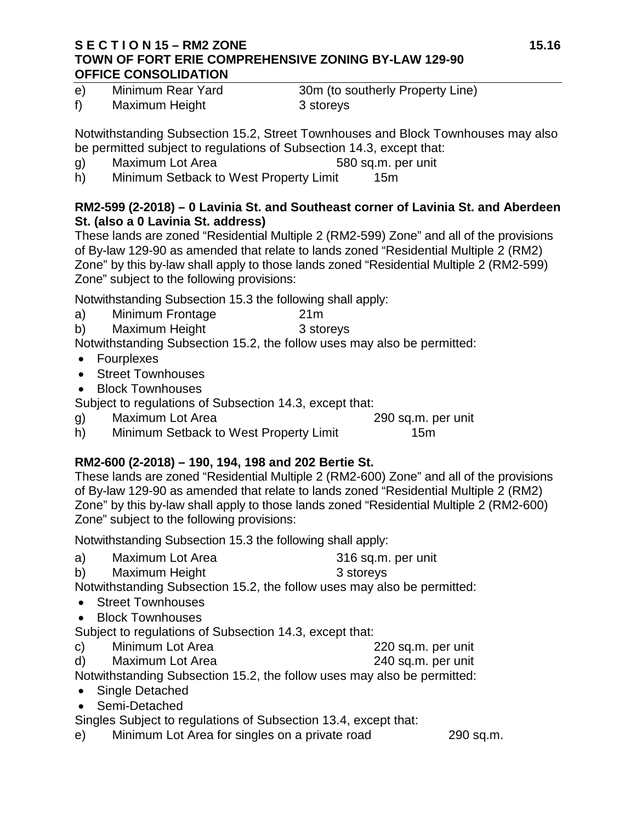#### **S E C T I O N 15 – RM2 ZONE 15.16 TOWN OF FORT ERIE COMPREHENSIVE ZONING BY-LAW 129-90 OFFICE CONSOLIDATION**

e) Minimum Rear Yard 30m (to southerly Property Line) f) Maximum Height 3 storeys

Notwithstanding Subsection 15.2, Street Townhouses and Block Townhouses may also be permitted subject to regulations of Subsection 14.3, except that:

- g) Maximum Lot Area 580 sq.m. per unit
- h) Minimum Setback to West Property Limit 15m

## **RM2-599 (2-2018) – 0 Lavinia St. and Southeast corner of Lavinia St. and Aberdeen St. (also a 0 Lavinia St. address)**

These lands are zoned "Residential Multiple 2 (RM2-599) Zone" and all of the provisions of By-law 129-90 as amended that relate to lands zoned "Residential Multiple 2 (RM2) Zone" by this by-law shall apply to those lands zoned "Residential Multiple 2 (RM2-599) Zone" subject to the following provisions:

Notwithstanding Subsection 15.3 the following shall apply:

- a) Minimum Frontage 21m
- b) Maximum Height 3 storeys

Notwithstanding Subsection 15.2, the follow uses may also be permitted:

- Fourplexes
- Street Townhouses
- Block Townhouses

Subject to regulations of Subsection 14.3, except that:

- g) Maximum Lot Area 290 sq.m. per unit
- h) Minimum Setback to West Property Limit 15m

# **RM2-600 (2-2018) – 190, 194, 198 and 202 Bertie St.**

These lands are zoned "Residential Multiple 2 (RM2-600) Zone" and all of the provisions of By-law 129-90 as amended that relate to lands zoned "Residential Multiple 2 (RM2) Zone" by this by-law shall apply to those lands zoned "Residential Multiple 2 (RM2-600) Zone" subject to the following provisions:

Notwithstanding Subsection 15.3 the following shall apply:

- a) Maximum Lot Area 316 sq.m. per unit
- b) Maximum Height 3 storeys

Notwithstanding Subsection 15.2, the follow uses may also be permitted:

- Street Townhouses
- Block Townhouses

Subject to regulations of Subsection 14.3, except that:

- c) Minimum Lot Area 220 sq.m. per unit
- d) Maximum Lot Area 240 sq.m. per unit

Notwithstanding Subsection 15.2, the follow uses may also be permitted:

- Single Detached
- Semi-Detached

Singles Subject to regulations of Subsection 13.4, except that:

e) Minimum Lot Area for singles on a private road 290 sq.m.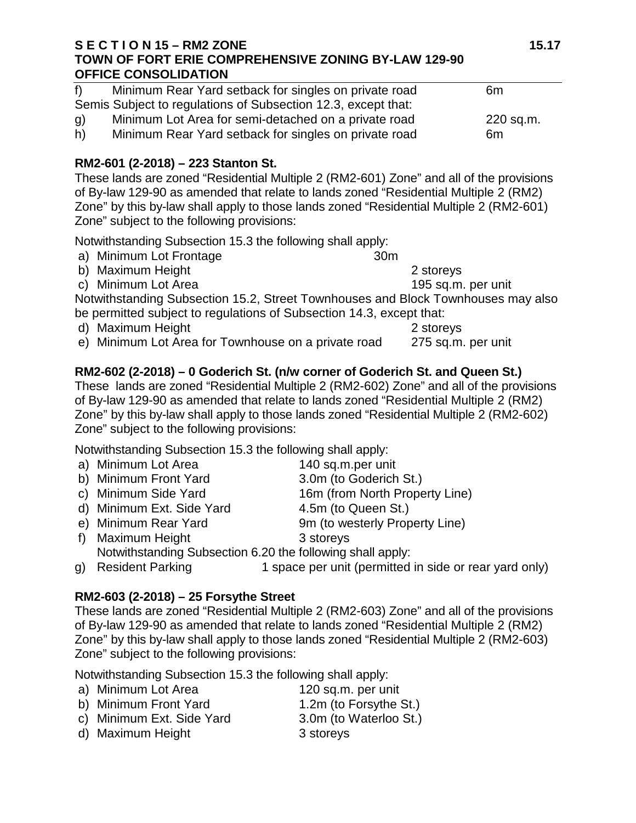#### **S E C T I O N 15 – RM2 ZONE 15.17 TOWN OF FORT ERIE COMPREHENSIVE ZONING BY-LAW 129-90 OFFICE CONSOLIDATION**

| f  | Minimum Rear Yard setback for singles on private road         | 6m        |
|----|---------------------------------------------------------------|-----------|
|    | Semis Subject to regulations of Subsection 12.3, except that: |           |
| g) | Minimum Lot Area for semi-detached on a private road          | 220 sq.m. |
| h) | Minimum Rear Yard setback for singles on private road         | 6m        |

## **RM2-601 (2-2018) – 223 Stanton St.**

These lands are zoned "Residential Multiple 2 (RM2-601) Zone" and all of the provisions of By-law 129-90 as amended that relate to lands zoned "Residential Multiple 2 (RM2) Zone" by this by-law shall apply to those lands zoned "Residential Multiple 2 (RM2-601) Zone" subject to the following provisions:

Notwithstanding Subsection 15.3 the following shall apply:

- a) Minimum Lot Frontage 30m
- b) Maximum Height 2 storeys
- c) Minimum Lot Area 195 sq.m. per unit

Notwithstanding Subsection 15.2, Street Townhouses and Block Townhouses may also be permitted subject to regulations of Subsection 14.3, except that:<br>d) Maximum Height 2

d) Maximum Height 2 storeys<br>
e) Minimum Lot Area for Townhouse on a private road 275 sq.m. per unit e) Minimum Lot Area for Townhouse on a private road

# **RM2-602 (2-2018) – 0 Goderich St. (n/w corner of Goderich St. and Queen St.)**

These lands are zoned "Residential Multiple 2 (RM2-602) Zone" and all of the provisions of By-law 129-90 as amended that relate to lands zoned "Residential Multiple 2 (RM2) Zone" by this by-law shall apply to those lands zoned "Residential Multiple 2 (RM2-602) Zone" subject to the following provisions:

Notwithstanding Subsection 15.3 the following shall apply:

- a) Minimum Lot Area 140 sq.m.per unit
- b) Minimum Front Yard 3.0m (to Goderich St.)<br>c) Minimum Side Yard 16m (from North Prope 16m (from North Property Line)
- 
- d) Minimum Ext. Side Yard 4.5m (to Queen St.)
- e) Minimum Rear Yard 9m (to westerly Property Line)
- f) Maximum Height 3 storeys Notwithstanding Subsection 6.20 the following shall apply:
- g) Resident Parking 1 space per unit (permitted in side or rear yard only)

## **RM2-603 (2-2018) – 25 Forsythe Street**

These lands are zoned "Residential Multiple 2 (RM2-603) Zone" and all of the provisions of By-law 129-90 as amended that relate to lands zoned "Residential Multiple 2 (RM2) Zone" by this by-law shall apply to those lands zoned "Residential Multiple 2 (RM2-603) Zone" subject to the following provisions:

Notwithstanding Subsection 15.3 the following shall apply:

- a) Minimum Lot Area 120 sq.m. per unit b) Minimum Front Yard 1.2m (to Forsythe St.)
- c) Minimum Ext. Side Yard 3.0m (to Waterloo St.)
- d) Maximum Height 3 storeys
-